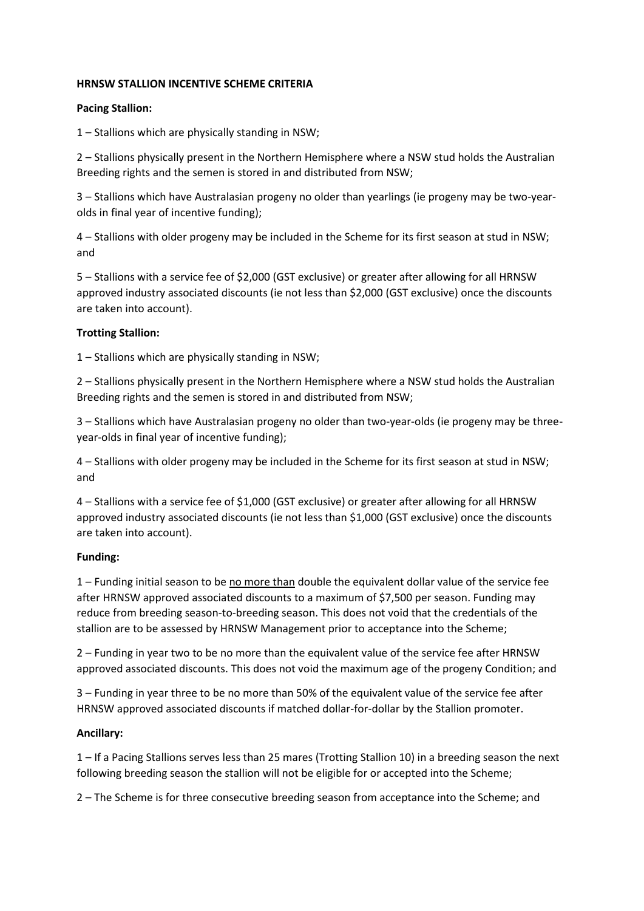## **HRNSW STALLION INCENTIVE SCHEME CRITERIA**

## **Pacing Stallion:**

1 – Stallions which are physically standing in NSW;

2 – Stallions physically present in the Northern Hemisphere where a NSW stud holds the Australian Breeding rights and the semen is stored in and distributed from NSW;

3 – Stallions which have Australasian progeny no older than yearlings (ie progeny may be two-yearolds in final year of incentive funding);

4 – Stallions with older progeny may be included in the Scheme for its first season at stud in NSW; and

5 – Stallions with a service fee of \$2,000 (GST exclusive) or greater after allowing for all HRNSW approved industry associated discounts (ie not less than \$2,000 (GST exclusive) once the discounts are taken into account).

## **Trotting Stallion:**

1 – Stallions which are physically standing in NSW;

2 – Stallions physically present in the Northern Hemisphere where a NSW stud holds the Australian Breeding rights and the semen is stored in and distributed from NSW;

3 – Stallions which have Australasian progeny no older than two-year-olds (ie progeny may be threeyear-olds in final year of incentive funding);

4 – Stallions with older progeny may be included in the Scheme for its first season at stud in NSW; and

4 – Stallions with a service fee of \$1,000 (GST exclusive) or greater after allowing for all HRNSW approved industry associated discounts (ie not less than \$1,000 (GST exclusive) once the discounts are taken into account).

# **Funding:**

1 – Funding initial season to be no more than double the equivalent dollar value of the service fee after HRNSW approved associated discounts to a maximum of \$7,500 per season. Funding may reduce from breeding season-to-breeding season. This does not void that the credentials of the stallion are to be assessed by HRNSW Management prior to acceptance into the Scheme;

2 – Funding in year two to be no more than the equivalent value of the service fee after HRNSW approved associated discounts. This does not void the maximum age of the progeny Condition; and

3 – Funding in year three to be no more than 50% of the equivalent value of the service fee after HRNSW approved associated discounts if matched dollar-for-dollar by the Stallion promoter.

# **Ancillary:**

1 – If a Pacing Stallions serves less than 25 mares (Trotting Stallion 10) in a breeding season the next following breeding season the stallion will not be eligible for or accepted into the Scheme;

2 – The Scheme is for three consecutive breeding season from acceptance into the Scheme; and